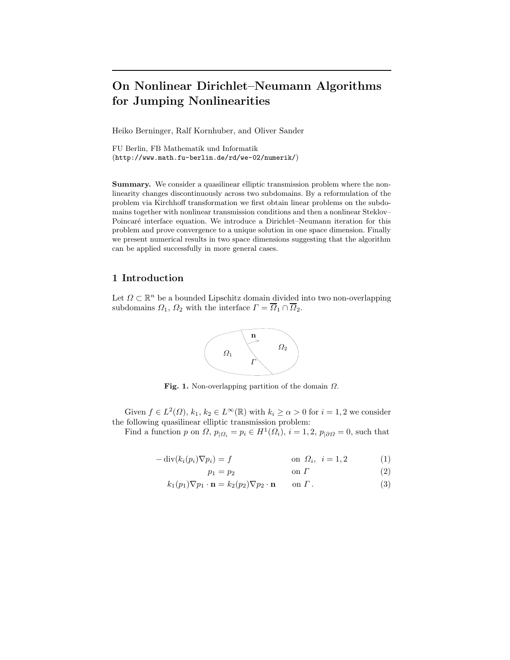# **On Nonlinear Dirichlet–Neumann Algorithms for Jumping Nonlinearities**

Heiko Berninger, Ralf Kornhuber, and Oliver Sander

FU Berlin, FB Mathematik und Informatik (http://www.math.fu-berlin.de/rd/we-02/numerik/)

**Summary.** We consider a quasilinear elliptic transmission problem where the nonlinearity changes discontinuously across two subdomains. By a reformulation of the problem via Kirchhoff transformation we first obtain linear problems on the subdomains together with nonlinear transmission conditions and then a nonlinear Steklov– Poincaré interface equation. We introduce a Dirichlet–Neumann iteration for this problem and prove convergence to a unique solution in one space dimension. Finally we present numerical results in two space dimensions suggesting that the algorithm can be applied successfully in more general cases.

## **1 Introduction**

Let  $\Omega \subset \mathbb{R}^n$  be a bounded Lipschitz domain divided into two non-overlapping subdomains  $\Omega_1$ ,  $\Omega_2$  with the interface  $\Gamma = \overline{\Omega}_1 \cap \overline{\Omega}_2$ .



**Fig. 1.** Non-overlapping partition of the domain <sup>Ω</sup>.

Given  $f \in L^2(\Omega)$ ,  $k_1, k_2 \in L^\infty(\mathbb{R})$  with  $k_i \ge \alpha > 0$  for  $i = 1, 2$  we consider the following quasilinear elliptic transmission problem:

Find a function p on  $\Omega$ ,  $p_{\vert \Omega_i} = p_i \in H^1(\Omega_i)$ ,  $i = 1, 2$ ,  $p_{\vert \partial \Omega} = 0$ , such that

$$
-\operatorname{div}(k_i(p_i)\nabla p_i) = f \qquad \text{on } \Omega_i, \ i = 1, 2 \qquad (1)
$$

$$
p_1 = p_2 \qquad \qquad \text{on } \Gamma \tag{2}
$$

$$
k_1(p_1)\nabla p_1 \cdot \mathbf{n} = k_2(p_2)\nabla p_2 \cdot \mathbf{n} \qquad \text{on } \Gamma. \tag{3}
$$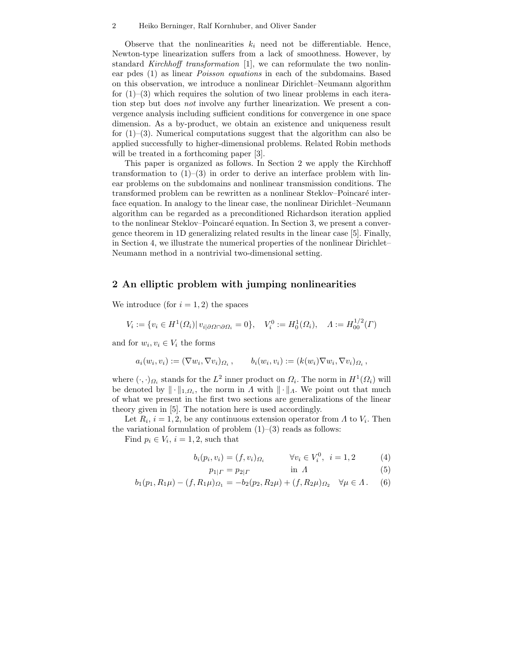#### 2 Heiko Berninger, Ralf Kornhuber, and Oliver Sander

Observe that the nonlinearities  $k_i$  need not be differentiable. Hence, Newton-type linearization suffers from a lack of smoothness. However, by standard *Kirchhoff transformation* [1], we can reformulate the two nonlinear pdes (1) as linear *Poisson equations* in each of the subdomains. Based on this observation, we introduce a nonlinear Dirichlet–Neumann algorithm for  $(1)$ – $(3)$  which requires the solution of two linear problems in each iteration step but does *not* involve any further linearization. We present a convergence analysis including sufficient conditions for convergence in one space dimension. As a by-product, we obtain an existence and uniqueness result for  $(1)$ – $(3)$ . Numerical computations suggest that the algorithm can also be applied successfully to higher-dimensional problems. Related Robin methods will be treated in a forthcoming paper [3].

This paper is organized as follows. In Section 2 we apply the Kirchhoff transformation to  $(1)-(3)$  in order to derive an interface problem with linear problems on the subdomains and nonlinear transmission conditions. The transformed problem can be rewritten as a nonlinear Steklov–Poincaré interface equation. In analogy to the linear case, the nonlinear Dirichlet–Neumann algorithm can be regarded as a preconditioned Richardson iteration applied to the nonlinear Steklov–Poincaré equation. In Section 3, we present a convergence theorem in 1D generalizing related results in the linear case [5]. Finally, in Section 4, we illustrate the numerical properties of the nonlinear Dirichlet– Neumann method in a nontrivial two-dimensional setting.

### **2 An elliptic problem with jumping nonlinearities**

We introduce (for  $i = 1, 2$ ) the spaces

$$
V_i := \{ v_i \in H^1(\Omega_i) | v_{i| \partial \Omega \cap \partial \Omega_i} = 0 \}, \quad V_i^0 := H_0^1(\Omega_i), \quad \Lambda := H_{00}^{1/2}(\Gamma)
$$

and for  $w_i, v_i \in V_i$  the forms

$$
a_i(w_i, v_i) := (\nabla w_i, \nabla v_i)_{\Omega_i}, \qquad b_i(w_i, v_i) := (k(w_i) \nabla w_i, \nabla v_i)_{\Omega_i},
$$

where  $(\cdot, \cdot)_{\Omega_i}$  stands for the  $L^2$  inner product on  $\Omega_i$ . The norm in  $H^1(\Omega_i)$  will be denoted by  $\|\cdot\|_{1,\Omega_i}$ , the norm in  $\Lambda$  with  $\|\cdot\|_{\Lambda}$ . We point out that much of what we present in the first two sections are generalizations of the linear theory given in [5]. The notation here is used accordingly.

Let  $R_i$ ,  $i = 1, 2$ , be any continuous extension operator from  $\Lambda$  to  $V_i$ . Then the variational formulation of problem  $(1)$ – $(3)$  reads as follows:

Find  $p_i \in V_i$ ,  $i = 1, 2$ , such that

$$
b_i(p_i, v_i) = (f, v_i)_{\Omega_i} \qquad \forall v_i \in V_i^0, \ i = 1, 2 \qquad (4)
$$

$$
p_{1| \Gamma} = p_{2| \Gamma} \qquad \qquad \text{in} \ \Lambda \tag{5}
$$

$$
b_1(p_1, R_1\mu) - (f, R_1\mu)_{\Omega_1} = -b_2(p_2, R_2\mu) + (f, R_2\mu)_{\Omega_2} \quad \forall \mu \in \Lambda. \tag{6}
$$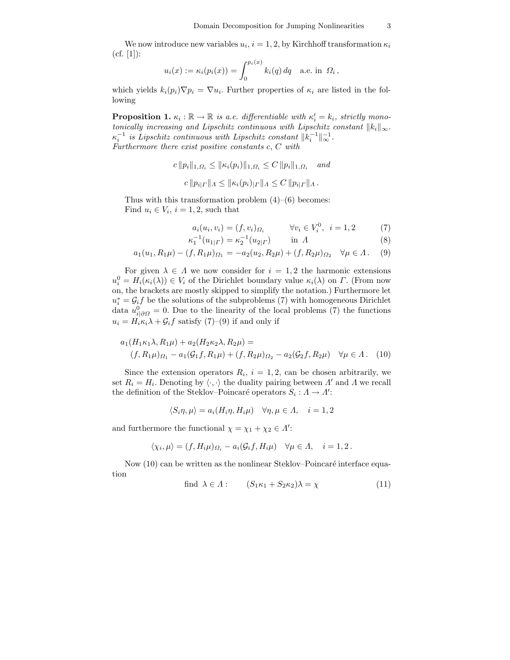We now introduce new variables  $u_i$ ,  $i = 1, 2$ , by Kirchhoff transformation  $\kappa_i$  $(cf. [1])$ :

$$
u_i(x) := \kappa_i(p_i(x)) = \int_0^{p_i(x)} k_i(q) dq
$$
 a.e. in  $\Omega_i$ ,

which yields  $k_i(p_i)\nabla p_i = \nabla u_i$ . Further properties of  $\kappa_i$  are listed in the following

**Proposition 1.**  $\kappa_i : \mathbb{R} \to \mathbb{R}$  *is a.e. differentiable with*  $\kappa'_i = k_i$ *, strictly monotonically increasing and Lipschitz continuous with Lipschitz constant*  $||k_i||_{\infty}$ *.*  $\kappa_i^{-1}$  is Lipschitz continuous with Lipschitz constant  $||k_i^{-1}||_{\infty}^{-1}$ . *Furthermore there exist positive constants* c, C *with*

$$
c ||p_i||_{1,\Omega_i} \le ||\kappa_i(p_i)||_{1,\Omega_i} \le C ||p_i||_{1,\Omega_i} \quad and
$$
  

$$
c ||p_{i| \Gamma}||_{A} \le ||\kappa_i(p_i)|_{\Gamma}||_{A} \le C ||p_{i| \Gamma}||_{A}.
$$

Thus with this transformation problem  $(4)$ – $(6)$  becomes: Find  $u_i \in V_i$ ,  $i = 1, 2$ , such that

$$
a_i(u_i, v_i) = (f, v_i)_{\Omega_i} \qquad \forall v_i \in V_i^0, \ i = 1, 2 \tag{7}
$$

$$
\kappa_1^{-1}(u_{1|\Gamma}) = \kappa_2^{-1}(u_{2|\Gamma}) \qquad \text{in } \Lambda \tag{8}
$$

$$
a_1(u_1, R_1\mu) - (f, R_1\mu)_{\Omega_1} = -a_2(u_2, R_2\mu) + (f, R_2\mu)_{\Omega_2} \quad \forall \mu \in \Lambda. \tag{9}
$$

For given  $\lambda \in \Lambda$  we now consider for  $i = 1, 2$  the harmonic extensions  $u_i^0 = H_i(\kappa_i(\lambda)) \in V_i$  of the Dirichlet boundary value  $\kappa_i(\lambda)$  on  $\Gamma$ . (From now on, the brackets are mostly skipped to simplify the notation.) Furthermore let  $u_i^* = \mathcal{G}_i f$  be the solutions of the subproblems (7) with homogeneous Dirichlet data  $u_{i|\partial\Omega}^0 = 0$ . Due to the linearity of the local problems (7) the functions  $u_i = H_i \kappa_i \lambda + \mathcal{G}_i f$  satisfy (7)–(9) if and only if

$$
a_1(H_1\kappa_1\lambda, R_1\mu) + a_2(H_2\kappa_2\lambda, R_2\mu) =
$$
  
(f, R\_1\mu)\_{\Omega\_1} - a\_1(\mathcal{G}\_1 f, R\_1\mu) + (f, R\_2\mu)\_{\Omega\_2} - a\_2(\mathcal{G}\_2 f, R\_2\mu) \quad \forall \mu \in \Lambda. (10)

Since the extension operators  $R_i$ ,  $i = 1, 2$ , can be chosen arbitrarily, we set  $R_i = H_i$ . Denoting by  $\langle \cdot, \cdot \rangle$  the duality pairing between  $\Lambda'$  and  $\Lambda$  we recall the definition of the Steklov–Poincaré operators  $S_i : A \to A'$ :

$$
\langle S_i\eta,\mu\rangle=a_i(H_i\eta,H_i\mu)\quad \forall \eta,\mu\in\varLambda,\quad i=1,2
$$

and furthermore the functional  $\chi = \chi_1 + \chi_2 \in \Lambda'$ :

$$
\langle \chi_i, \mu \rangle = (f, H_i \mu)_{\varOmega_i} - a_i (\mathcal G_i f, H_i \mu) \quad \forall \mu \in \varLambda, \quad i = 1, 2 \, .
$$

Now  $(10)$  can be written as the nonlinear Steklov–Poincaré interface equation

find 
$$
\lambda \in \Lambda
$$
:  $(S_1\kappa_1 + S_2\kappa_2)\lambda = \chi$  (11)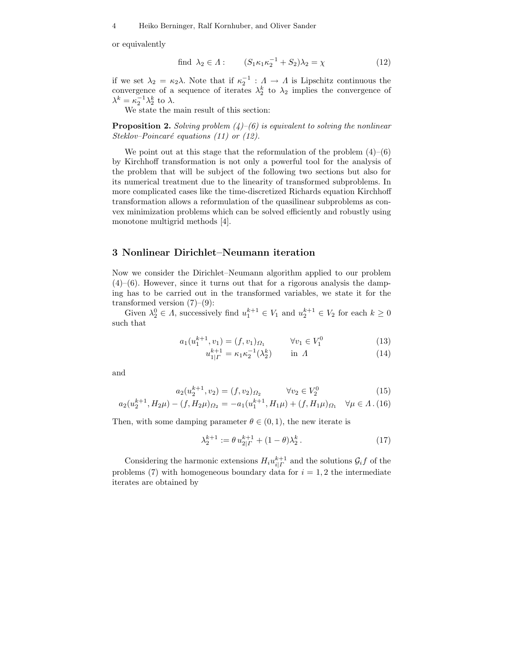or equivalently

find 
$$
\lambda_2 \in \Lambda
$$
:  $(S_1 \kappa_1 \kappa_2^{-1} + S_2) \lambda_2 = \chi$  (12)

if we set  $\lambda_2 = \kappa_2 \lambda$ . Note that if  $\kappa_2^{-1} : \Lambda \to \Lambda$  is Lipschitz continuous the convergence of a sequence of iterates  $\lambda_2^k$  to  $\lambda_2$  implies the convergence of  $\lambda^k = \kappa_2^{-1} \lambda_2^k$  to  $\lambda$ .

We state the main result of this section:

**Proposition 2.** *Solving problem (4)–(6) is equivalent to solving the nonlinear Steklov–Poincaré equations (11) or (12).* 

We point out at this stage that the reformulation of the problem  $(4)$ – $(6)$ by Kirchhoff transformation is not only a powerful tool for the analysis of the problem that will be subject of the following two sections but also for its numerical treatment due to the linearity of transformed subproblems. In more complicated cases like the time-discretized Richards equation Kirchhoff transformation allows a reformulation of the quasilinear subproblems as convex minimization problems which can be solved efficiently and robustly using monotone multigrid methods [4].

#### **3 Nonlinear Dirichlet–Neumann iteration**

Now we consider the Dirichlet–Neumann algorithm applied to our problem  $(4)$ – $(6)$ . However, since it turns out that for a rigorous analysis the damping has to be carried out in the transformed variables, we state it for the transformed version  $(7)-(9)$ :

Given  $\lambda_2^0 \in \Lambda$ , successively find  $u_1^{k+1} \in V_1$  and  $u_2^{k+1} \in V_2$  for each  $k \geq 0$ such that

$$
a_1(u_1^{k+1}, v_1) = (f, v_1)_{\Omega_1} \qquad \forall v_1 \in V_1^0 \tag{13}
$$

$$
u_{1|\Gamma}^{k+1} = \kappa_1 \kappa_2^{-1} (\lambda_2^k) \qquad \text{in } \Lambda \tag{14}
$$

and

$$
a_2(u_2^{k+1}, v_2) = (f, v_2)_{\Omega_2} \qquad \forall v_2 \in V_2^0 \tag{15}
$$

$$
a_2(u_2^{k+1}, H_2\mu) - (f, H_2\mu)_{\Omega_2} = -a_1(u_1^{k+1}, H_1\mu) + (f, H_1\mu)_{\Omega_1} \quad \forall \mu \in \Lambda. (16)
$$

Then, with some damping parameter  $\theta \in (0, 1)$ , the new iterate is

$$
\lambda_2^{k+1} := \theta u_{2|T}^{k+1} + (1 - \theta) \lambda_2^k.
$$
 (17)

Considering the harmonic extensions  $H_i u_{i|T}^{k+1}$  and the solutions  $\mathcal{G}_i f$  of the problems (7) with homogeneous boundary data for  $i = 1, 2$  the intermediate iterates are obtained by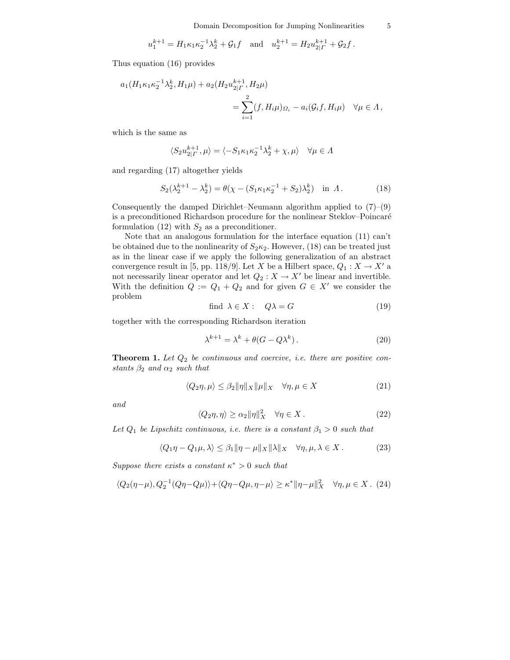$$
u_1^{k+1} = H_1 \kappa_1 \kappa_2^{-1} \lambda_2^k + \mathcal{G}_1 f
$$
 and  $u_2^{k+1} = H_2 u_{2| \Gamma}^{k+1} + \mathcal{G}_2 f$ .

Thus equation (16) provides

$$
a_1(H_1\kappa_1\kappa_2^{-1}\lambda_2^k, H_1\mu) + a_2(H_2u_{2|\Gamma}^{k+1}, H_2\mu)
$$
  
= 
$$
\sum_{i=1}^2 (f, H_i\mu)_{\Omega_i} - a_i(\mathcal{G}_i f, H_i\mu) \quad \forall \mu \in \Lambda,
$$

which is the same as

$$
\langle S_2 u_{2|\Gamma}^{k+1}, \mu \rangle = \langle -S_1 \kappa_1 \kappa_2^{-1} \lambda_2^k + \chi, \mu \rangle \quad \forall \mu \in \Lambda
$$

and regarding (17) altogether yields

$$
S_2(\lambda_2^{k+1} - \lambda_2^k) = \theta(\chi - (S_1 \kappa_1 \kappa_2^{-1} + S_2)\lambda_2^k) \text{ in } \Lambda. \tag{18}
$$

Consequently the damped Dirichlet–Neumann algorithm applied to  $(7)-(9)$ is a preconditioned Richardson procedure for the nonlinear Steklov–Poincaré formulation (12) with  $S_2$  as a preconditioner.

Note that an analogous formulation for the interface equation (11) can't be obtained due to the nonlinearity of  $S_2\kappa_2$ . However, (18) can be treated just as in the linear case if we apply the following generalization of an abstract convergence result in [5, pp. 118/9]. Let X be a Hilbert space,  $Q_1: X \to X'$  a not necessarily linear operator and let  $Q_2: X \rightarrow X'$  be linear and invertible. With the definition  $Q := Q_1 + Q_2$  and for given  $G \in X'$  we consider the problem

find 
$$
\lambda \in X : Q\lambda = G
$$
 (19)

together with the corresponding Richardson iteration

$$
\lambda^{k+1} = \lambda^k + \theta(G - Q\lambda^k). \tag{20}
$$

**Theorem 1.** Let  $Q_2$  be continuous and coercive, i.e. there are positive con*stants*  $\beta_2$  *and*  $\alpha_2$  *such that* 

$$
\langle Q_2 \eta, \mu \rangle \le \beta_2 \|\eta\|_X \|\mu\|_X \quad \forall \eta, \mu \in X \tag{21}
$$

*and*

$$
\langle Q_2 \eta, \eta \rangle \ge \alpha_2 \|\eta\|_X^2 \quad \forall \eta \in X. \tag{22}
$$

Let  $Q_1$  *be Lipschitz continuous, i.e. there is a constant*  $\beta_1 > 0$  *such that* 

$$
\langle Q_1 \eta - Q_1 \mu, \lambda \rangle \le \beta_1 \|\eta - \mu\|_X \|\lambda\|_X \quad \forall \eta, \mu, \lambda \in X. \tag{23}
$$

*Suppose there exists a constant*  $\kappa^* > 0$  *such that* 

$$
\langle Q_2(\eta - \mu), Q_2^{-1}(Q\eta - Q\mu) \rangle + \langle Q\eta - Q\mu, \eta - \mu \rangle \ge \kappa^* \|\eta - \mu\|_X^2 \quad \forall \eta, \mu \in X. \tag{24}
$$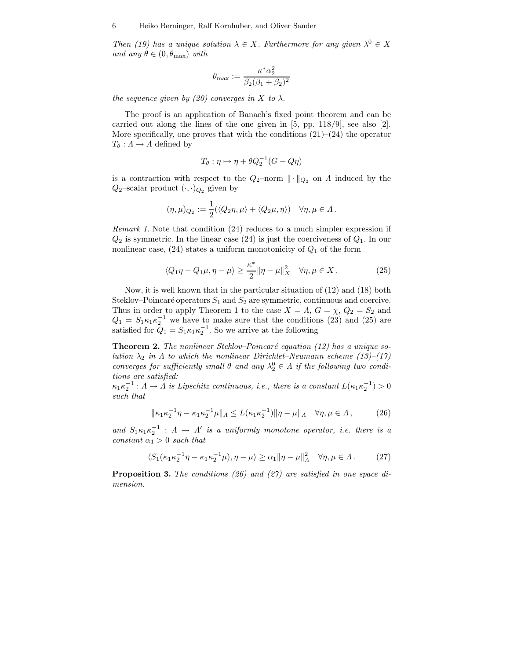*Then (19) has a unique solution*  $\lambda \in X$ *. Furthermore for any given*  $\lambda^0 \in X$ *and any*  $\theta \in (0, \theta_{\text{max}})$  *with* 

$$
\theta_{\max} := \frac{\kappa^* \alpha_2^2}{\beta_2 (\beta_1 + \beta_2)^2}
$$

*the sequence given by (20) converges in* X *to*  $\lambda$ *.* 

The proof is an application of Banach's fixed point theorem and can be carried out along the lines of the one given in [5, pp. 118/9], see also [2]. More specifically, one proves that with the conditions  $(21)$ – $(24)$  the operator  $T_{\theta}: A \rightarrow A$  defined by

$$
T_{\theta}: \eta \mapsto \eta + \theta Q_2^{-1}(G - Q\eta)
$$

is a contraction with respect to the  $Q_2$ -norm  $\|\cdot\|_{Q_2}$  on  $\Lambda$  induced by the  $Q_2$ –scalar product  $(\cdot, \cdot)_{Q_2}$  given by

$$
(\eta, \mu)_{Q_2} := \frac{1}{2} (\langle Q_2 \eta, \mu \rangle + \langle Q_2 \mu, \eta \rangle) \quad \forall \eta, \mu \in \Lambda.
$$

*Remark 1.* Note that condition (24) reduces to a much simpler expression if  $Q_2$  is symmetric. In the linear case (24) is just the coerciveness of  $Q_1$ . In our nonlinear case,  $(24)$  states a uniform monotonicity of  $Q_1$  of the form

$$
\langle Q_1 \eta - Q_1 \mu, \eta - \mu \rangle \ge \frac{\kappa^*}{2} \|\eta - \mu\|_X^2 \quad \forall \eta, \mu \in X. \tag{25}
$$

Now, it is well known that in the particular situation of (12) and (18) both Steklov–Poincaré operators  $S_1$  and  $S_2$  are symmetric, continuous and coercive. Thus in order to apply Theorem 1 to the case  $X = \Lambda$ ,  $G = \chi$ ,  $Q_2 = S_2$  and  $Q_1 = S_1 \kappa_1 \kappa_2^{-1}$  we have to make sure that the conditions (23) and (25) are satisfied for  $\tilde{Q}_1 = S_1 \kappa_1 \kappa_2^{-1}$ . So we arrive at the following

**Theorem 2.** The nonlinear Steklov-Poincaré equation (12) has a unique so*lution*  $\lambda_2$  *in*  $\Lambda$  *to which the nonlinear Dirichlet–Neumann scheme (13)–(17) converges for sufficiently small*  $\theta$  *and any*  $\lambda_2^0 \in \Lambda$  *if the following two conditions are satisfied:*

 $\kappa_1 \kappa_2^{-1}$ :  $\Lambda \to \Lambda$  *is Lipschitz continuous, i.e., there is a constant*  $L(\kappa_1 \kappa_2^{-1}) > 0$ *such that*

$$
\|\kappa_1\kappa_2^{-1}\eta - \kappa_1\kappa_2^{-1}\mu\|_{\Lambda} \le L(\kappa_1\kappa_2^{-1})\|\eta - \mu\|_{\Lambda} \quad \forall \eta, \mu \in \Lambda,
$$
 (26)

and  $S_1 \kappa_1 \kappa_2^{-1}$  :  $\Lambda \to \Lambda'$  *is a uniformly monotone operator, i.e. there is a constant*  $\alpha_1 > 0$  *such that* 

$$
\langle S_1(\kappa_1 \kappa_2^{-1} \eta - \kappa_1 \kappa_2^{-1} \mu), \eta - \mu \rangle \ge \alpha_1 \|\eta - \mu\|_A^2 \quad \forall \eta, \mu \in \Lambda. \tag{27}
$$

**Proposition 3.** *The conditions (26) and (27) are satisfied in one space dimension.*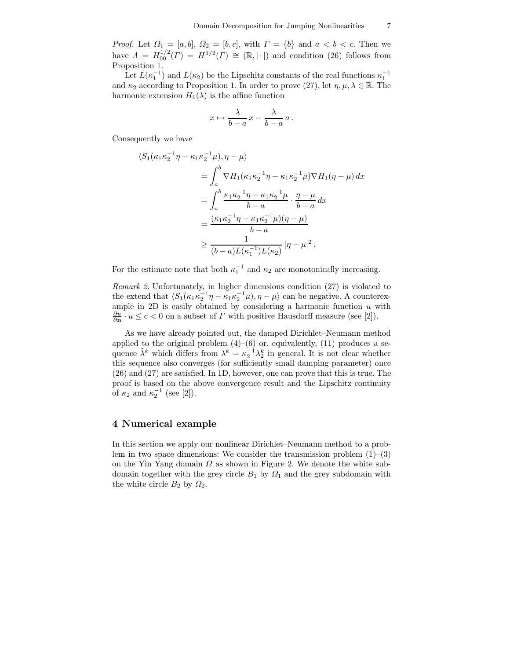*Proof.* Let  $\Omega_1 = [a, b], \Omega_2 = [b, c],$  with  $\Gamma = \{b\}$  and  $a < b < c.$  Then we have  $\Lambda = H_{00}^{1/2}(\Gamma) = H^{1/2}(\Gamma) \cong (\mathbb{R}, |\cdot|)$  and condition (26) follows from Proposition 1.

Let  $L(\kappa_1^{-1})$  and  $L(\kappa_2)$  be the Lipschitz constants of the real functions  $\kappa_1^{-1}$ and  $\kappa_2$  according to Proposition 1. In order to prove (27), let  $\eta$ ,  $\mu$ ,  $\lambda \in \mathbb{R}$ . The harmonic extension  $H_1(\lambda)$  is the affine function

$$
x \mapsto \frac{\lambda}{b-a} x - \frac{\lambda}{b-a} a.
$$

Consequently we have

$$
\langle S_1(\kappa_1 \kappa_2^{-1} \eta - \kappa_1 \kappa_2^{-1} \mu), \eta - \mu \rangle
$$
  
=  $\int_a^b \nabla H_1(\kappa_1 \kappa_2^{-1} \eta - \kappa_1 \kappa_2^{-1} \mu) \nabla H_1(\eta - \mu) dx$   
=  $\int_a^b \frac{\kappa_1 \kappa_2^{-1} \eta - \kappa_1 \kappa_2^{-1} \mu}{b - a} \cdot \frac{\eta - \mu}{b - a} dx$   
=  $\frac{(\kappa_1 \kappa_2^{-1} \eta - \kappa_1 \kappa_2^{-1} \mu)(\eta - \mu)}{b - a}$   
 $\ge \frac{1}{(b - a)L(\kappa_1^{-1})L(\kappa_2)} |\eta - \mu|^2.$ 

For the estimate note that both  $\kappa_1^{-1}$  and  $\kappa_2$  are monotonically increasing.

*Remark 2.* Unfortunately, in higher dimensions condition (27) is violated to the extend that  $\langle S_1(\kappa_1 \kappa_2^{-1} \eta - \kappa_1 \kappa_2^{-1} \mu), \eta - \mu \rangle$  can be negative. A counterexample in 2D is easily obtained by considering a harmonic function  $u$  with  $\frac{\partial u}{\partial \mathbf{n}} \cdot u \leq c < 0$  on a subset of  $\Gamma$  with positive Hausdorff measure (see [2]).

As we have already pointed out, the damped Dirichlet–Neumann method applied to the original problem  $(4)$ – $(6)$  or, equivalently,  $(11)$  produces a sequence  $\tilde{\lambda}^k$  which differs from  $\lambda^k = \kappa_2^{-1} \lambda_2^k$  in general. It is not clear whether this sequence also converges (for sufficiently small damping parameter) once (26) and (27) are satisfied. In 1D, however, one can prove that this is true. The proof is based on the above convergence result and the Lipschitz continuity of  $\kappa_2$  and  $\kappa_2^{-1}$  (see [2]).

### **4 Numerical example**

In this section we apply our nonlinear Dirichlet–Neumann method to a problem in two space dimensions: We consider the transmission problem  $(1)$ – $(3)$ on the Yin Yang domain  $\Omega$  as shown in Figure 2. We denote the white subdomain together with the grey circle  $B_1$  by  $\Omega_1$  and the grey subdomain with the white circle  $B_2$  by  $\Omega_2$ .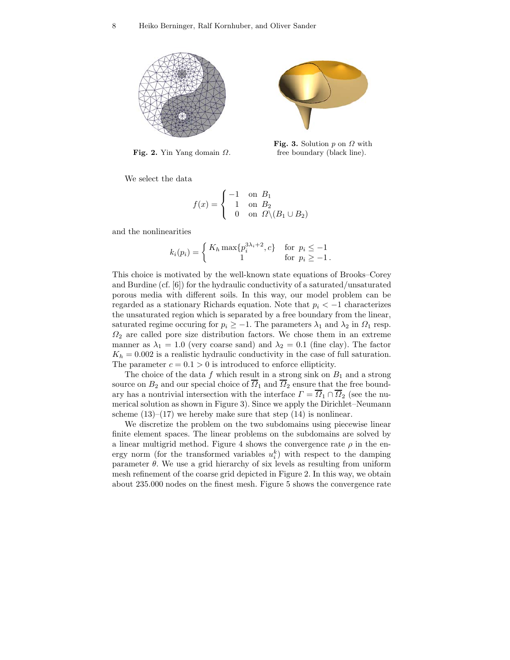

**Fig. 2.** Yin Yang domain <sup>Ω</sup>.



**Fig. 3.** Solution  $p$  on  $\Omega$  with free boundary (black line).

We select the data

$$
f(x) = \begin{cases} -1 & \text{on} \ B_1 \\ 1 & \text{on} \ B_2 \\ 0 & \text{on} \ \varOmega \backslash (B_1 \cup B_2) \end{cases}
$$

and the nonlinearities

$$
k_i(p_i) = \begin{cases} K_h \max\{p_i^{3\lambda_i+2}, c\} & \text{for } p_i \le -1\\ 1 & \text{for } p_i \ge -1. \end{cases}
$$

This choice is motivated by the well-known state equations of Brooks–Corey and Burdine (cf. [6]) for the hydraulic conductivity of a saturated/unsaturated porous media with different soils. In this way, our model problem can be regarded as a stationary Richards equation. Note that  $p_i < -1$  characterizes the unsaturated region which is separated by a free boundary from the linear, saturated regime occuring for  $p_i \geq -1$ . The parameters  $\lambda_1$  and  $\lambda_2$  in  $\Omega_1$  resp.  $\Omega_2$  are called pore size distribution factors. We chose them in an extreme manner as  $\lambda_1 = 1.0$  (very coarse sand) and  $\lambda_2 = 0.1$  (fine clay). The factor  $K_h = 0.002$  is a realistic hydraulic conductivity in the case of full saturation. The parameter  $c = 0.1 > 0$  is introduced to enforce ellipticity.

The choice of the data f which result in a strong sink on  $B_1$  and a strong source on  $B_2$  and our special choice of  $\overline{O}_1$  and  $\overline{O}_2$  ensure that the free boundary has a nontrivial intersection with the interface  $\Gamma = \overline{\Omega}_1 \cap \overline{\Omega}_2$  (see the numerical solution as shown in Figure 3). Since we apply the Dirichlet–Neumann scheme  $(13)$ – $(17)$  we hereby make sure that step  $(14)$  is nonlinear.

We discretize the problem on the two subdomains using piecewise linear finite element spaces. The linear problems on the subdomains are solved by a linear multigrid method. Figure 4 shows the convergence rate  $\rho$  in the energy norm (for the transformed variables  $u_i^k$ ) with respect to the damping parameter  $\theta$ . We use a grid hierarchy of six levels as resulting from uniform mesh refinement of the coarse grid depicted in Figure 2. In this way, we obtain about 235.000 nodes on the finest mesh. Figure 5 shows the convergence rate